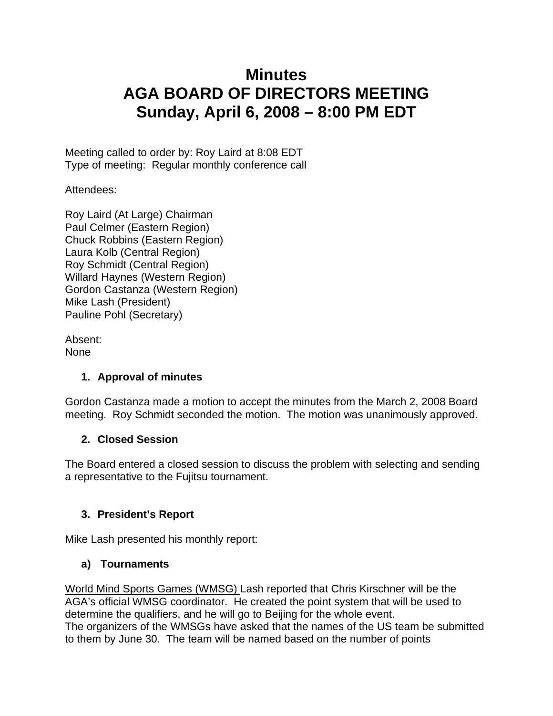# **Minutes AGA BOARD OF DIRECTORS MEETING Sunday, April 6, 2008 – 8:00 PM EDT**

Meeting called to order by: Roy Laird at 8:08 EDT Type of meeting: Regular monthly conference call

Attendees:

Roy Laird (At Large) Chairman Paul Celmer (Eastern Region) Chuck Robbins (Eastern Region) Laura Kolb (Central Region) Roy Schmidt (Central Region) Willard Haynes (Western Region) Gordon Castanza (Western Region) Mike Lash (President) Pauline Pohl (Secretary)

Absent: None

# **1. Approval of minutes**

Gordon Castanza made a motion to accept the minutes from the March 2, 2008 Board meeting. Roy Schmidt seconded the motion. The motion was unanimously approved.

# **2. Closed Session**

The Board entered a closed session to discuss the problem with selecting and sending a representative to the Fujitsu tournament.

# **3. President's Report**

Mike Lash presented his monthly report:

# **a) Tournaments**

World Mind Sports Games (WMSG) Lash reported that Chris Kirschner will be the AGA's official WMSG coordinator. He created the point system that will be used to determine the qualifiers, and he will go to Beijing for the whole event. The organizers of the WMSGs have asked that the names of the US team be submitted to them by June 30. The team will be named based on the number of points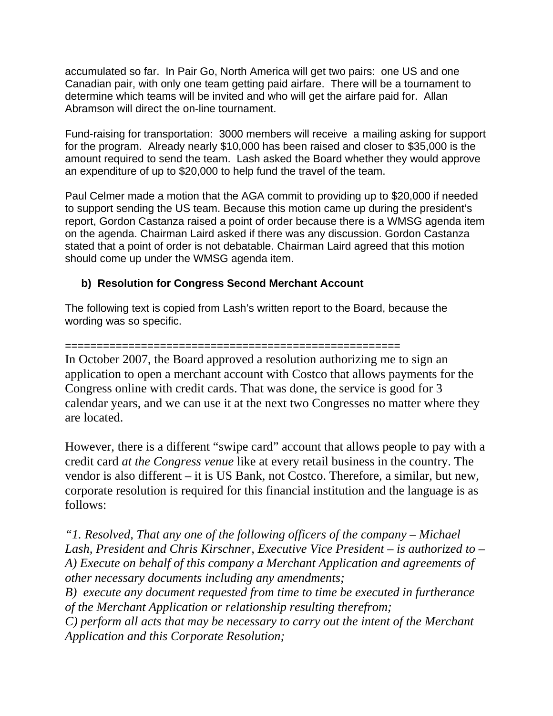accumulated so far. In Pair Go, North America will get two pairs: one US and one Canadian pair, with only one team getting paid airfare. There will be a tournament to determine which teams will be invited and who will get the airfare paid for. Allan Abramson will direct the on-line tournament.

Fund-raising for transportation: 3000 members will receive a mailing asking for support for the program. Already nearly \$10,000 has been raised and closer to \$35,000 is the amount required to send the team. Lash asked the Board whether they would approve an expenditure of up to \$20,000 to help fund the travel of the team.

Paul Celmer made a motion that the AGA commit to providing up to \$20,000 if needed to support sending the US team. Because this motion came up during the president's report, Gordon Castanza raised a point of order because there is a WMSG agenda item on the agenda. Chairman Laird asked if there was any discussion. Gordon Castanza stated that a point of order is not debatable. Chairman Laird agreed that this motion should come up under the WMSG agenda item.

#### **b) Resolution for Congress Second Merchant Account**

The following text is copied from Lash's written report to the Board, because the wording was so specific.

#### =====================================================

In October 2007, the Board approved a resolution authorizing me to sign an application to open a merchant account with Costco that allows payments for the Congress online with credit cards. That was done, the service is good for 3 calendar years, and we can use it at the next two Congresses no matter where they are located.

However, there is a different "swipe card" account that allows people to pay with a credit card *at the Congress venue* like at every retail business in the country. The vendor is also different – it is US Bank, not Costco. Therefore, a similar, but new, corporate resolution is required for this financial institution and the language is as follows:

*"1. Resolved, That any one of the following officers of the company – Michael Lash, President and Chris Kirschner, Executive Vice President – is authorized to – A) Execute on behalf of this company a Merchant Application and agreements of other necessary documents including any amendments;*

*B) execute any document requested from time to time be executed in furtherance of the Merchant Application or relationship resulting therefrom;*

*C) perform all acts that may be necessary to carry out the intent of the Merchant Application and this Corporate Resolution;*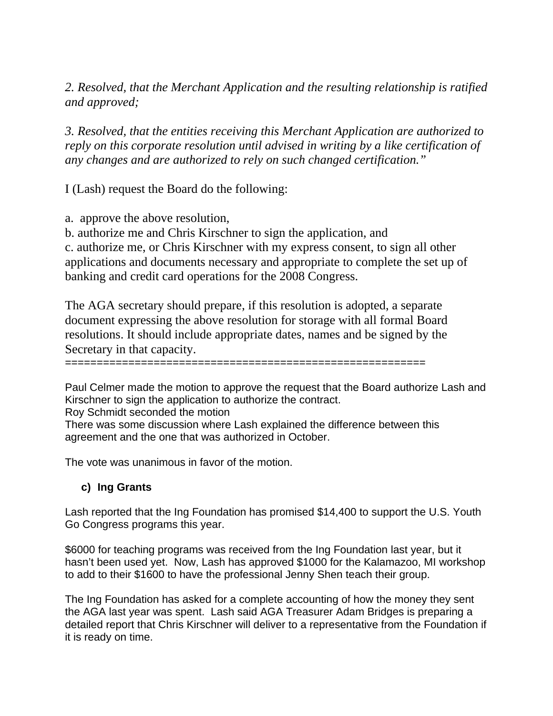*2. Resolved, that the Merchant Application and the resulting relationship is ratified and approved;*

*3. Resolved, that the entities receiving this Merchant Application are authorized to reply on this corporate resolution until advised in writing by a like certification of any changes and are authorized to rely on such changed certification."* 

I (Lash) request the Board do the following:

a. approve the above resolution,

b. authorize me and Chris Kirschner to sign the application, and

c. authorize me, or Chris Kirschner with my express consent, to sign all other applications and documents necessary and appropriate to complete the set up of banking and credit card operations for the 2008 Congress.

The AGA secretary should prepare, if this resolution is adopted, a separate document expressing the above resolution for storage with all formal Board resolutions. It should include appropriate dates, names and be signed by the Secretary in that capacity.

=========================================================

Paul Celmer made the motion to approve the request that the Board authorize Lash and Kirschner to sign the application to authorize the contract.

Roy Schmidt seconded the motion

There was some discussion where Lash explained the difference between this agreement and the one that was authorized in October.

The vote was unanimous in favor of the motion.

#### **c) Ing Grants**

Lash reported that the Ing Foundation has promised \$14,400 to support the U.S. Youth Go Congress programs this year.

\$6000 for teaching programs was received from the Ing Foundation last year, but it hasn't been used yet. Now, Lash has approved \$1000 for the Kalamazoo, MI workshop to add to their \$1600 to have the professional Jenny Shen teach their group.

The Ing Foundation has asked for a complete accounting of how the money they sent the AGA last year was spent. Lash said AGA Treasurer Adam Bridges is preparing a detailed report that Chris Kirschner will deliver to a representative from the Foundation if it is ready on time.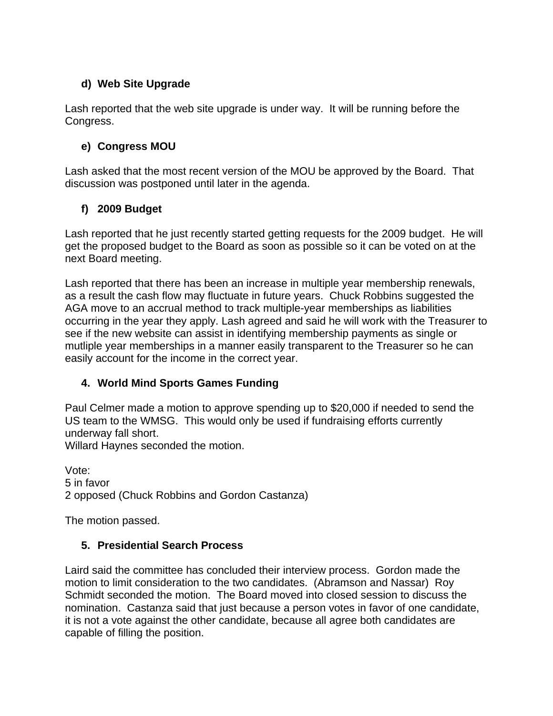### **d) Web Site Upgrade**

Lash reported that the web site upgrade is under way. It will be running before the Congress.

### **e) Congress MOU**

Lash asked that the most recent version of the MOU be approved by the Board. That discussion was postponed until later in the agenda.

# **f) 2009 Budget**

Lash reported that he just recently started getting requests for the 2009 budget. He will get the proposed budget to the Board as soon as possible so it can be voted on at the next Board meeting.

Lash reported that there has been an increase in multiple year membership renewals, as a result the cash flow may fluctuate in future years. Chuck Robbins suggested the AGA move to an accrual method to track multiple-year memberships as liabilities occurring in the year they apply. Lash agreed and said he will work with the Treasurer to see if the new website can assist in identifying membership payments as single or mutliple year memberships in a manner easily transparent to the Treasurer so he can easily account for the income in the correct year.

# **4. World Mind Sports Games Funding**

Paul Celmer made a motion to approve spending up to \$20,000 if needed to send the US team to the WMSG. This would only be used if fundraising efforts currently underway fall short.

Willard Haynes seconded the motion.

Vote: 5 in favor 2 opposed (Chuck Robbins and Gordon Castanza)

The motion passed.

#### **5. Presidential Search Process**

Laird said the committee has concluded their interview process. Gordon made the motion to limit consideration to the two candidates. (Abramson and Nassar) Roy Schmidt seconded the motion. The Board moved into closed session to discuss the nomination. Castanza said that just because a person votes in favor of one candidate, it is not a vote against the other candidate, because all agree both candidates are capable of filling the position.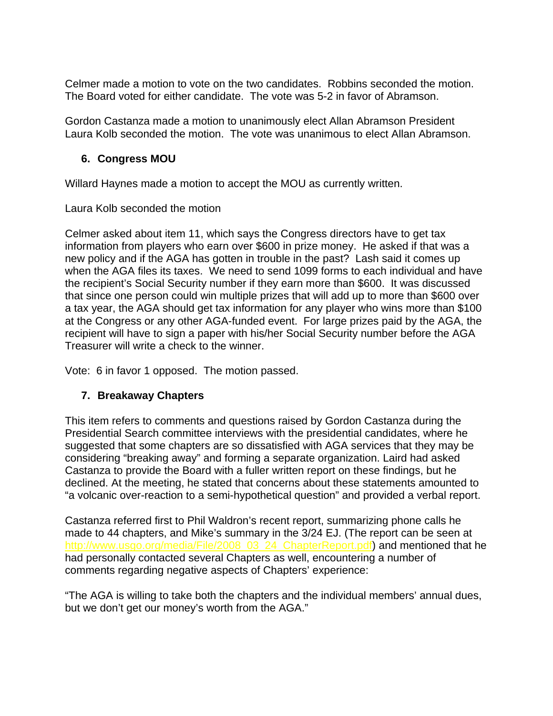Celmer made a motion to vote on the two candidates. Robbins seconded the motion. The Board voted for either candidate. The vote was 5-2 in favor of Abramson.

Gordon Castanza made a motion to unanimously elect Allan Abramson President Laura Kolb seconded the motion. The vote was unanimous to elect Allan Abramson.

#### **6. Congress MOU**

Willard Haynes made a motion to accept the MOU as currently written.

Laura Kolb seconded the motion

Celmer asked about item 11, which says the Congress directors have to get tax information from players who earn over \$600 in prize money. He asked if that was a new policy and if the AGA has gotten in trouble in the past? Lash said it comes up when the AGA files its taxes. We need to send 1099 forms to each individual and have the recipient's Social Security number if they earn more than \$600. It was discussed that since one person could win multiple prizes that will add up to more than \$600 over a tax year, the AGA should get tax information for any player who wins more than \$100 at the Congress or any other AGA-funded event. For large prizes paid by the AGA, the recipient will have to sign a paper with his/her Social Security number before the AGA Treasurer will write a check to the winner.

Vote: 6 in favor 1 opposed. The motion passed.

#### **7. Breakaway Chapters**

This item refers to comments and questions raised by Gordon Castanza during the Presidential Search committee interviews with the presidential candidates, where he suggested that some chapters are so dissatisfied with AGA services that they may be considering "breaking away" and forming a separate organization. Laird had asked Castanza to provide the Board with a fuller written report on these findings, but he declined. At the meeting, he stated that concerns about these statements amounted to "a volcanic over-reaction to a semi-hypothetical question" and provided a verbal report.

Castanza referred first to Phil Waldron's recent report, summarizing phone calls he made to 44 chapters, and Mike's summary in the 3/24 EJ. (The report can be seen at http://www.usgo.org/media/File/2008 03 24 ChapterReport.pdf) and mentioned that he had personally contacted several Chapters as well, encountering a number of comments regarding negative aspects of Chapters' experience:

"The AGA is willing to take both the chapters and the individual members' annual dues, but we don't get our money's worth from the AGA."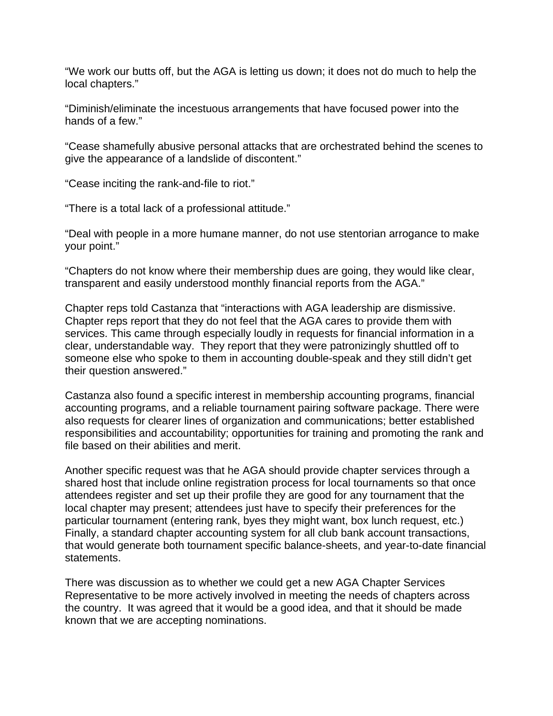"We work our butts off, but the AGA is letting us down; it does not do much to help the local chapters."

"Diminish/eliminate the incestuous arrangements that have focused power into the hands of a few."

"Cease shamefully abusive personal attacks that are orchestrated behind the scenes to give the appearance of a landslide of discontent."

"Cease inciting the rank-and-file to riot."

"There is a total lack of a professional attitude."

"Deal with people in a more humane manner, do not use stentorian arrogance to make your point."

"Chapters do not know where their membership dues are going, they would like clear, transparent and easily understood monthly financial reports from the AGA."

Chapter reps told Castanza that "interactions with AGA leadership are dismissive. Chapter reps report that they do not feel that the AGA cares to provide them with services. This came through especially loudly in requests for financial information in a clear, understandable way. They report that they were patronizingly shuttled off to someone else who spoke to them in accounting double-speak and they still didn't get their question answered."

Castanza also found a specific interest in membership accounting programs, financial accounting programs, and a reliable tournament pairing software package. There were also requests for clearer lines of organization and communications; better established responsibilities and accountability; opportunities for training and promoting the rank and file based on their abilities and merit.

Another specific request was that he AGA should provide chapter services through a shared host that include online registration process for local tournaments so that once attendees register and set up their profile they are good for any tournament that the local chapter may present; attendees just have to specify their preferences for the particular tournament (entering rank, byes they might want, box lunch request, etc.) Finally, a standard chapter accounting system for all club bank account transactions, that would generate both tournament specific balance-sheets, and year-to-date financial statements.

There was discussion as to whether we could get a new AGA Chapter Services Representative to be more actively involved in meeting the needs of chapters across the country. It was agreed that it would be a good idea, and that it should be made known that we are accepting nominations.